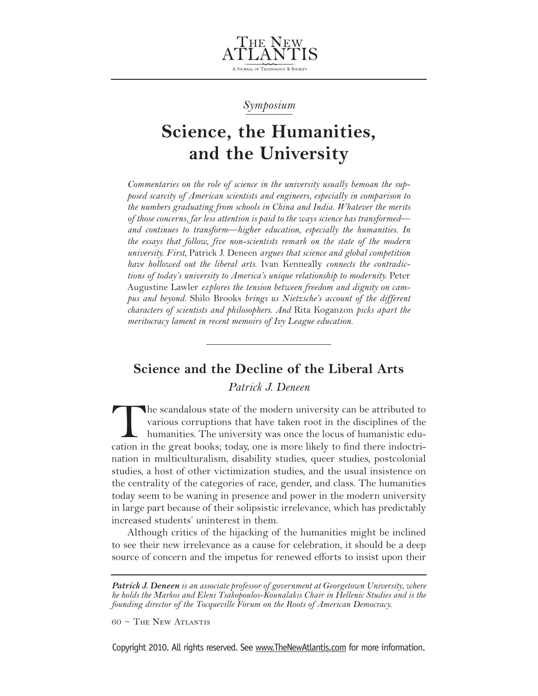

### *Symposium*

# **Science, the Humanities, and the University**

*Commentaries on the role of science in the university usually bemoan the supposed scarcity of American scientists and engineers, especially in comparison to the numbers graduating from schools in China and India. Whatever the merits of those concerns, far less attention is paid to the ways science has transformed and continues to transform—higher education, especially the humanities. In the essays that follow, five non-scientists remark on the state of the modern university. First,* Patrick J. Deneen *argues that science and global competition have hollowed out the liberal arts.* Ivan Kenneally *connects the contradictions of today's university to America's unique relationship to modernity.* Peter Augustine Lawler *explores the tension between freedom and dignity on campus and beyond.* Shilo Brooks *brings us Nietzsche's account of the different characters of scientists and philosophers. And* Rita Koganzon *picks apart the meritocracy lament in recent memoirs of Ivy League education.*

## **Science and the Decline of the Liberal Arts**

*Patrick J. Deneen*

The scandalous state of the modern university can be attributed to various corruptions that have taken root in the disciplines of the humanities. The university was once the locus of humanistic education in the great books various corruptions that have taken root in the disciplines of the humanities. The university was once the locus of humanistic education in the great books; today, one is more likely to find there indoctrination in multiculturalism, disability studies, queer studies, postcolonial studies, a host of other victimization studies, and the usual insistence on the centrality of the categories of race, gender, and class. The humanities today seem to be waning in presence and power in the modern university in large part because of their solipsistic irrelevance, which has predictably increased students' uninterest in them.

Although critics of the hijacking of the humanities might be inclined to see their new irrelevance as a cause for celebration, it should be a deep source of concern and the impetus for renewed efforts to insist upon their

 $60 \sim$  The New Atlantis

*Patrick J. Deneen is an associate professor of government at Georgetown University, where he holds the Markos and Eleni Tsakopoulos-Kounalakis Chair in Hellenic Studies and is the founding director of the Tocqueville Forum on the Roots of American Democracy.*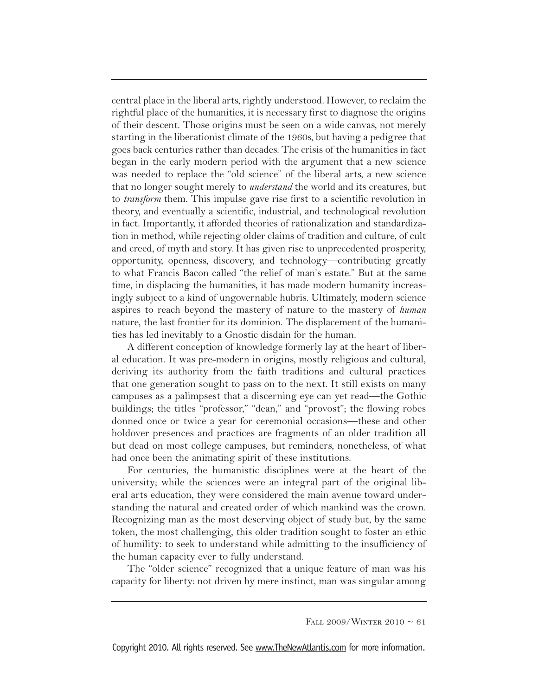central place in the liberal arts, rightly understood. However, to reclaim the rightful place of the humanities, it is necessary first to diagnose the origins of their descent. Those origins must be seen on a wide canvas, not merely starting in the liberationist climate of the 1960s, but having a pedigree that goes back centuries rather than decades. The crisis of the humanities in fact began in the early modern period with the argument that a new science was needed to replace the "old science" of the liberal arts, a new science that no longer sought merely to *understand* the world and its creatures, but to *transform* them. This impulse gave rise first to a scientific revolution in theory, and eventually a scientific, industrial, and technological revolution in fact. Importantly, it afforded theories of rationalization and standardization in method, while rejecting older claims of tradition and culture, of cult and creed, of myth and story. It has given rise to unprecedented prosperity, opportunity, openness, discovery, and technology—contributing greatly to what Francis Bacon called "the relief of man's estate." But at the same time, in displacing the humanities, it has made modern humanity increasingly subject to a kind of ungovernable hubris. Ultimately, modern science aspires to reach beyond the mastery of nature to the mastery of *human* nature, the last frontier for its dominion. The displacement of the humanities has led inevitably to a Gnostic disdain for the human.

A different conception of knowledge formerly lay at the heart of liberal education. It was pre-modern in origins, mostly religious and cultural, deriving its authority from the faith traditions and cultural practices that one generation sought to pass on to the next. It still exists on many campuses as a palimpsest that a discerning eye can yet read—the Gothic buildings; the titles "professor," "dean," and "provost"; the flowing robes donned once or twice a year for ceremonial occasions—these and other holdover presences and practices are fragments of an older tradition all but dead on most college campuses, but reminders, nonetheless, of what had once been the animating spirit of these institutions.

For centuries, the humanistic disciplines were at the heart of the university; while the sciences were an integral part of the original liberal arts education, they were considered the main avenue toward understanding the natural and created order of which mankind was the crown. Recognizing man as the most deserving object of study but, by the same token, the most challenging, this older tradition sought to foster an ethic of humility: to seek to understand while admitting to the insufficiency of the human capacity ever to fully understand.

The "older science" recognized that a unique feature of man was his capacity for liberty: not driven by mere instinct, man was singular among

FALL 2009/WINTER 2010  $\sim 61$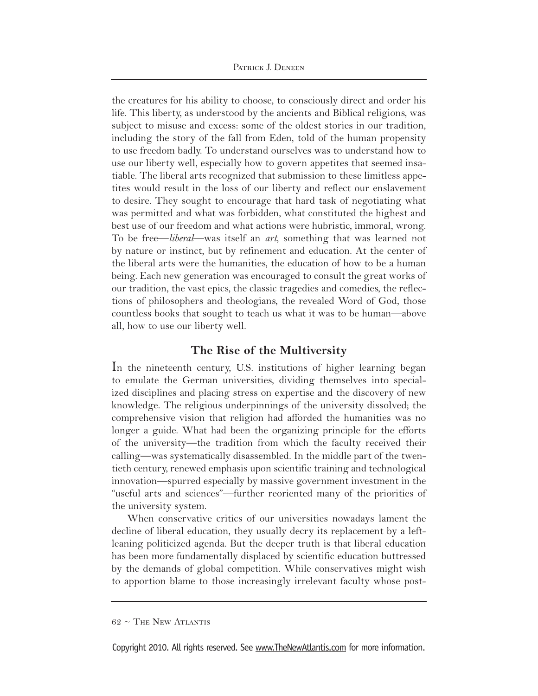the creatures for his ability to choose, to consciously direct and order his life. This liberty, as understood by the ancients and Biblical religions, was subject to misuse and excess: some of the oldest stories in our tradition, including the story of the fall from Eden, told of the human propensity to use freedom badly. To understand ourselves was to understand how to use our liberty well, especially how to govern appetites that seemed insatiable. The liberal arts recognized that submission to these limitless appetites would result in the loss of our liberty and reflect our enslavement to desire. They sought to encourage that hard task of negotiating what was permitted and what was forbidden, what constituted the highest and best use of our freedom and what actions were hubristic, immoral, wrong. To be free—*liberal*—was itself an *art*, something that was learned not by nature or instinct, but by refinement and education. At the center of the liberal arts were the humanities, the education of how to be a human being. Each new generation was encouraged to consult the great works of our tradition, the vast epics, the classic tragedies and comedies, the reflections of philosophers and theologians, the revealed Word of God, those countless books that sought to teach us what it was to be human—above all, how to use our liberty well.

#### **The Rise of the Multiversity**

In the nineteenth century, U.S. institutions of higher learning began to emulate the German universities, dividing themselves into specialized disciplines and placing stress on expertise and the discovery of new knowledge. The religious underpinnings of the university dissolved; the comprehensive vision that religion had afforded the humanities was no longer a guide. What had been the organizing principle for the efforts of the university—the tradition from which the faculty received their calling—was systematically disassembled. In the middle part of the twentieth century, renewed emphasis upon scientific training and technological innovation—spurred especially by massive government investment in the "useful arts and sciences"—further reoriented many of the priorities of the university system.

When conservative critics of our universities nowadays lament the decline of liberal education, they usually decry its replacement by a leftleaning politicized agenda. But the deeper truth is that liberal education has been more fundamentally displaced by scientific education buttressed by the demands of global competition. While conservatives might wish to apportion blame to those increasingly irrelevant faculty whose post-

 $62 \sim$  The New Atlantis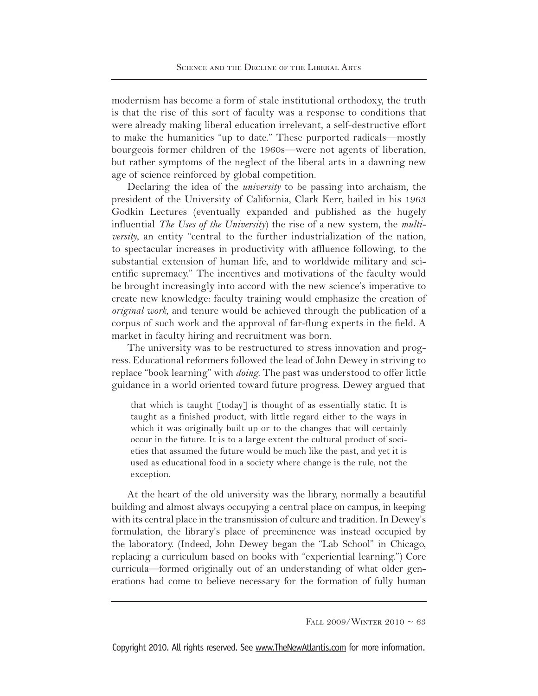modernism has become a form of stale institutional orthodoxy, the truth is that the rise of this sort of faculty was a response to conditions that were already making liberal education irrelevant, a self-destructive effort to make the humanities "up to date." These purported radicals—mostly bourgeois former children of the 1960s—were not agents of liberation, but rather symptoms of the neglect of the liberal arts in a dawning new age of science reinforced by global competition.

Declaring the idea of the *university* to be passing into archaism, the president of the University of California, Clark Kerr, hailed in his 1963 Godkin Lectures (eventually expanded and published as the hugely influential *The Uses of the University*) the rise of a new system, the *multiversity*, an entity "central to the further industrialization of the nation, to spectacular increases in productivity with affluence following, to the substantial extension of human life, and to worldwide military and scientific supremacy." The incentives and motivations of the faculty would be brought increasingly into accord with the new science's imperative to create new knowledge: faculty training would emphasize the creation of *original work*, and tenure would be achieved through the publication of a corpus of such work and the approval of far-flung experts in the field. A market in faculty hiring and recruitment was born.

The university was to be restructured to stress innovation and progress. Educational reformers followed the lead of John Dewey in striving to replace "book learning" with *doing*. The past was understood to offer little guidance in a world oriented toward future progress. Dewey argued that

that which is taught  $\lceil \text{today} \rceil$  is thought of as essentially static. It is taught as a finished product, with little regard either to the ways in which it was originally built up or to the changes that will certainly occur in the future. It is to a large extent the cultural product of societies that assumed the future would be much like the past, and yet it is used as educational food in a society where change is the rule, not the exception.

At the heart of the old university was the library, normally a beautiful building and almost always occupying a central place on campus, in keeping with its central place in the transmission of culture and tradition. In Dewey's formulation, the library's place of preeminence was instead occupied by the laboratory. (Indeed, John Dewey began the "Lab School" in Chicago, replacing a curriculum based on books with "experiential learning.") Core curricula—formed originally out of an understanding of what older generations had come to believe necessary for the formation of fully human

FALL 2009/WINTER 2010  $\sim 63$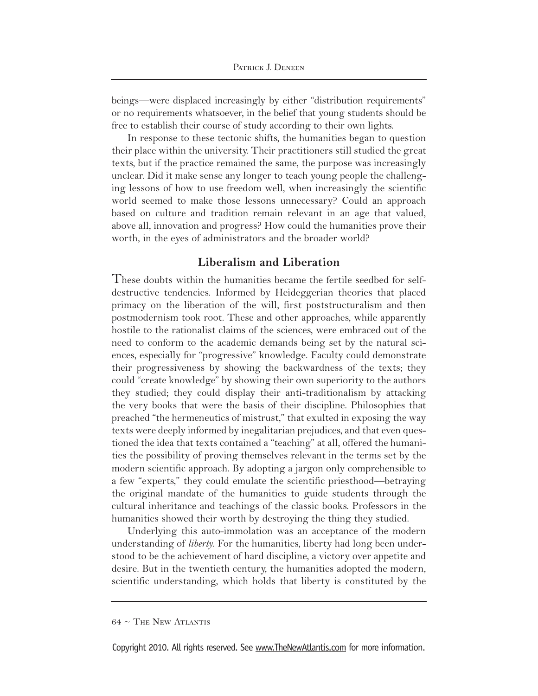beings—were displaced increasingly by either "distribution requirements" or no requirements whatsoever, in the belief that young students should be free to establish their course of study according to their own lights.

In response to these tectonic shifts, the humanities began to question their place within the university. Their practitioners still studied the great texts, but if the practice remained the same, the purpose was increasingly unclear. Did it make sense any longer to teach young people the challenging lessons of how to use freedom well, when increasingly the scientific world seemed to make those lessons unnecessary? Could an approach based on culture and tradition remain relevant in an age that valued, above all, innovation and progress? How could the humanities prove their worth, in the eyes of administrators and the broader world?

#### **Liberalism and Liberation**

These doubts within the humanities became the fertile seedbed for selfdestructive tendencies. Informed by Heideggerian theories that placed primacy on the liberation of the will, first poststructuralism and then postmodernism took root. These and other approaches, while apparently hostile to the rationalist claims of the sciences, were embraced out of the need to conform to the academic demands being set by the natural sciences, especially for "progressive" knowledge. Faculty could demonstrate their progressiveness by showing the backwardness of the texts; they could "create knowledge" by showing their own superiority to the authors they studied; they could display their anti-traditionalism by attacking the very books that were the basis of their discipline. Philosophies that preached "the hermeneutics of mistrust," that exulted in exposing the way texts were deeply informed by inegalitarian prejudices, and that even questioned the idea that texts contained a "teaching" at all, offered the humanities the possibility of proving themselves relevant in the terms set by the modern scientific approach. By adopting a jargon only comprehensible to a few "experts," they could emulate the scientific priesthood—betraying the original mandate of the humanities to guide students through the cultural inheritance and teachings of the classic books. Professors in the humanities showed their worth by destroying the thing they studied.

Underlying this auto-immolation was an acceptance of the modern understanding of *liberty*. For the humanities, liberty had long been understood to be the achievement of hard discipline, a victory over appetite and desire. But in the twentieth century, the humanities adopted the modern, scientific understanding, which holds that liberty is constituted by the

 $64 \sim$  The New Atlantis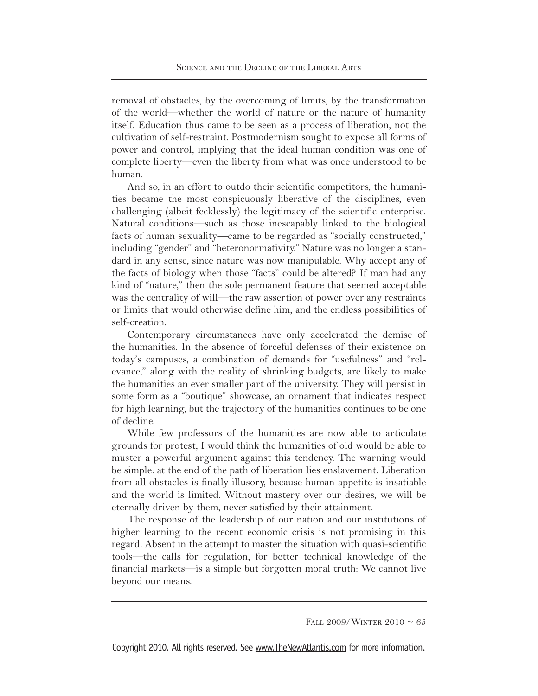removal of obstacles, by the overcoming of limits, by the transformation of the world—whether the world of nature or the nature of humanity itself. Education thus came to be seen as a process of liberation, not the cultivation of self-restraint. Postmodernism sought to expose all forms of power and control, implying that the ideal human condition was one of complete liberty—even the liberty from what was once understood to be human.

And so, in an effort to outdo their scientific competitors, the humanities became the most conspicuously liberative of the disciplines, even challenging (albeit fecklessly) the legitimacy of the scientific enterprise. Natural conditions—such as those inescapably linked to the biological facts of human sexuality—came to be regarded as "socially constructed," including "gender" and "heteronormativity." Nature was no longer a standard in any sense, since nature was now manipulable. Why accept any of the facts of biology when those "facts" could be altered? If man had any kind of "nature," then the sole permanent feature that seemed acceptable was the centrality of will—the raw assertion of power over any restraints or limits that would otherwise define him, and the endless possibilities of self-creation.

Contemporary circumstances have only accelerated the demise of the humanities. In the absence of forceful defenses of their existence on today's campuses, a combination of demands for "usefulness" and "relevance," along with the reality of shrinking budgets, are likely to make the humanities an ever smaller part of the university. They will persist in some form as a "boutique" showcase, an ornament that indicates respect for high learning, but the trajectory of the humanities continues to be one of decline.

While few professors of the humanities are now able to articulate grounds for protest, I would think the humanities of old would be able to muster a powerful argument against this tendency. The warning would be simple: at the end of the path of liberation lies enslavement. Liberation from all obstacles is finally illusory, because human appetite is insatiable and the world is limited. Without mastery over our desires, we will be eternally driven by them, never satisfied by their attainment.

The response of the leadership of our nation and our institutions of higher learning to the recent economic crisis is not promising in this regard. Absent in the attempt to master the situation with quasi-scientific tools—the calls for regulation, for better technical knowledge of the financial markets—is a simple but forgotten moral truth: We cannot live beyond our means.

FALL 2009/WINTER 2010  $\sim 65$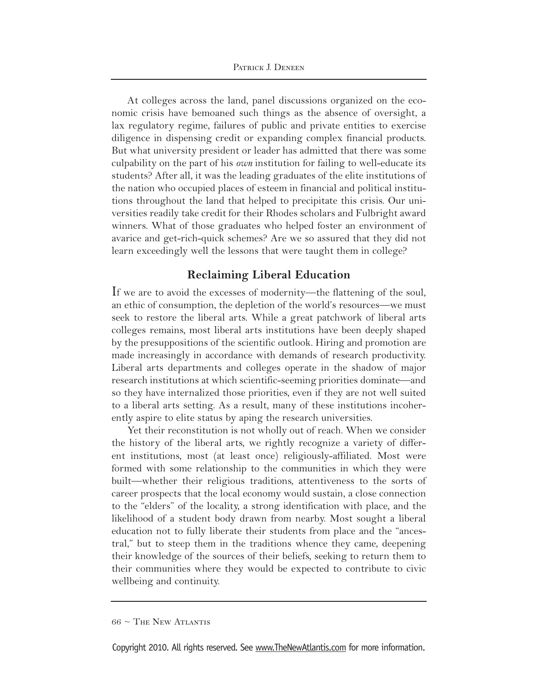At colleges across the land, panel discussions organized on the economic crisis have bemoaned such things as the absence of oversight, a lax regulatory regime, failures of public and private entities to exercise diligence in dispensing credit or expanding complex financial products. But what university president or leader has admitted that there was some culpability on the part of his *own* institution for failing to well-educate its students? After all, it was the leading graduates of the elite institutions of the nation who occupied places of esteem in financial and political institutions throughout the land that helped to precipitate this crisis. Our universities readily take credit for their Rhodes scholars and Fulbright award winners. What of those graduates who helped foster an environment of avarice and get-rich-quick schemes? Are we so assured that they did not learn exceedingly well the lessons that were taught them in college?

#### **Reclaiming Liberal Education**

If we are to avoid the excesses of modernity—the flattening of the soul, an ethic of consumption, the depletion of the world's resources—we must seek to restore the liberal arts. While a great patchwork of liberal arts colleges remains, most liberal arts institutions have been deeply shaped by the presuppositions of the scientific outlook. Hiring and promotion are made increasingly in accordance with demands of research productivity. Liberal arts departments and colleges operate in the shadow of major research institutions at which scientific-seeming priorities dominate—and so they have internalized those priorities, even if they are not well suited to a liberal arts setting. As a result, many of these institutions incoherently aspire to elite status by aping the research universities.

Yet their reconstitution is not wholly out of reach. When we consider the history of the liberal arts, we rightly recognize a variety of different institutions, most (at least once) religiously-affiliated. Most were formed with some relationship to the communities in which they were built—whether their religious traditions, attentiveness to the sorts of career prospects that the local economy would sustain, a close connection to the "elders" of the locality, a strong identification with place, and the likelihood of a student body drawn from nearby. Most sought a liberal education not to fully liberate their students from place and the "ancestral," but to steep them in the traditions whence they came, deepening their knowledge of the sources of their beliefs, seeking to return them to their communities where they would be expected to contribute to civic wellbeing and continuity.

 $66 \sim$  The New Atlantis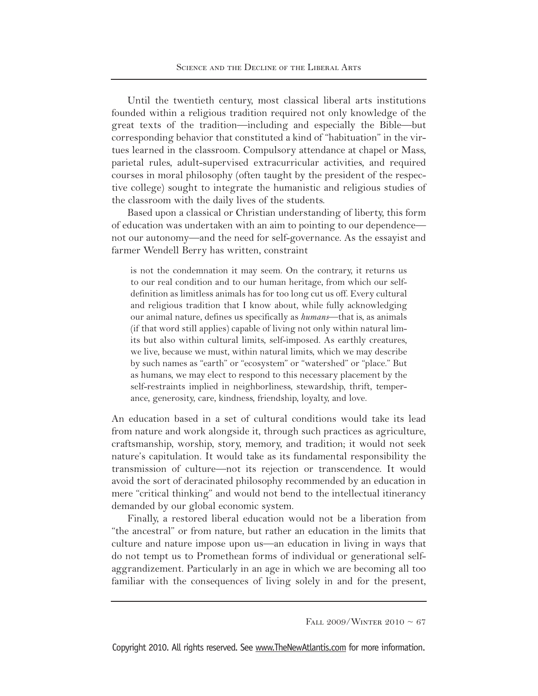Until the twentieth century, most classical liberal arts institutions founded within a religious tradition required not only knowledge of the great texts of the tradition—including and especially the Bible—but corresponding behavior that constituted a kind of "habituation" in the virtues learned in the classroom. Compulsory attendance at chapel or Mass, parietal rules, adult-supervised extracurricular activities, and required courses in moral philosophy (often taught by the president of the respective college) sought to integrate the humanistic and religious studies of the classroom with the daily lives of the students.

Based upon a classical or Christian understanding of liberty, this form of education was undertaken with an aim to pointing to our dependence not our autonomy—and the need for self-governance. As the essayist and farmer Wendell Berry has written, constraint

is not the condemnation it may seem. On the contrary, it returns us to our real condition and to our human heritage, from which our self definition as limitless animals has for too long cut us off. Every cultural and religious tradition that I know about, while fully acknowledging our animal nature, defines us specifically as *humans*—that is, as animals (if that word still applies) capable of living not only within natural limits but also within cultural limits, self-imposed. As earthly creatures, we live, because we must, within natural limits, which we may describe by such names as "earth" or "ecosystem" or "watershed" or "place." But as humans, we may elect to respond to this necessary placement by the self-restraints implied in neighborliness, stewardship, thrift, temperance, generosity, care, kindness, friendship, loyalty, and love.

An education based in a set of cultural conditions would take its lead from nature and work alongside it, through such practices as agriculture, craftsmanship, worship, story, memory, and tradition; it would not seek nature's capitulation. It would take as its fundamental responsibility the transmission of culture—not its rejection or transcendence. It would avoid the sort of deracinated philosophy recommended by an education in mere "critical thinking" and would not bend to the intellectual itinerancy demanded by our global economic system.

Finally, a restored liberal education would not be a liberation from "the ancestral" or from nature, but rather an education in the limits that culture and nature impose upon us—an education in living in ways that do not tempt us to Promethean forms of individual or generational selfaggrandizement. Particularly in an age in which we are becoming all too familiar with the consequences of living solely in and for the present,

FALL 2009/WINTER 2010  $\sim 67$